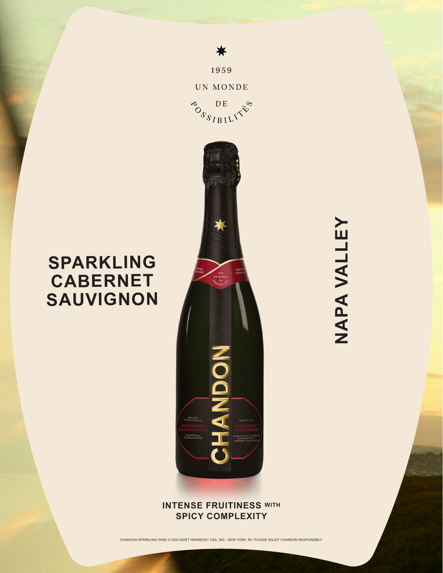

☀

1959

UN MONDE

**SPARKLING**

**CABERNET**

**SAUVIGNON**

## **INTENSE FRUITINESS WITH SPICY COMPLEXITY**

CHANDON SPARKLING WINE © 2022 MOËT HENNESSY USA, INC., NEW YORK, NY. PLEASE ENJOY CHANDON RESPONSIBLY.

NAPA VALLEY **NAPA VALLEY**